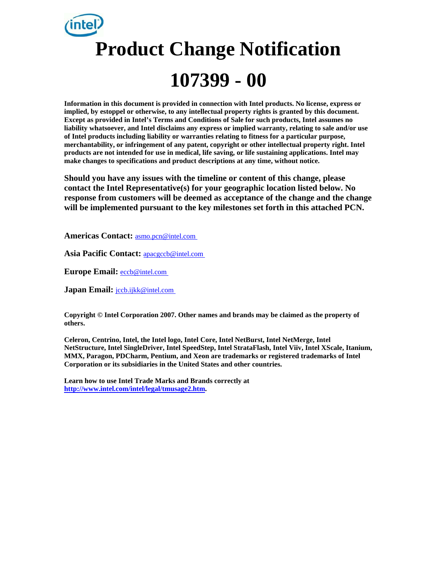# **Product Change Notification 107399 - 00**

**Information in this document is provided in connection with Intel products. No license, express or implied, by estoppel or otherwise, to any intellectual property rights is granted by this document. Except as provided in Intel's Terms and Conditions of Sale for such products, Intel assumes no liability whatsoever, and Intel disclaims any express or implied warranty, relating to sale and/or use of Intel products including liability or warranties relating to fitness for a particular purpose, merchantability, or infringement of any patent, copyright or other intellectual property right. Intel products are not intended for use in medical, life saving, or life sustaining applications. Intel may make changes to specifications and product descriptions at any time, without notice.** 

**Should you have any issues with the timeline or content of this change, please contact the Intel Representative(s) for your geographic location listed below. No response from customers will be deemed as acceptance of the change and the change will be implemented pursuant to the key milestones set forth in this attached PCN.** 

**Americas Contact:** [asmo.pcn@intel.com](mailto:asmo.pcn@intel.com)

**Asia Pacific Contact:** [apacgccb@intel.com](mailto:apacgccb@intel.com)

**Europe Email:** [eccb@intel.com](mailto:eccb@intel.com)

**Japan Email: [jccb.ijkk@intel.com](mailto:jccb.ijkk@intel.com)** 

**Copyright © Intel Corporation 2007. Other names and brands may be claimed as the property of others.**

**Celeron, Centrino, Intel, the Intel logo, Intel Core, Intel NetBurst, Intel NetMerge, Intel NetStructure, Intel SingleDriver, Intel SpeedStep, Intel StrataFlash, Intel Viiv, Intel XScale, Itanium, MMX, Paragon, PDCharm, Pentium, and Xeon are trademarks or registered trademarks of Intel Corporation or its subsidiaries in the United States and other countries.** 

**Learn how to use Intel Trade Marks and Brands correctly at [http://www.intel.com/intel/legal/tmusage2.htm.](http://www.intel.com/intel/legal/tmusage2.htm)**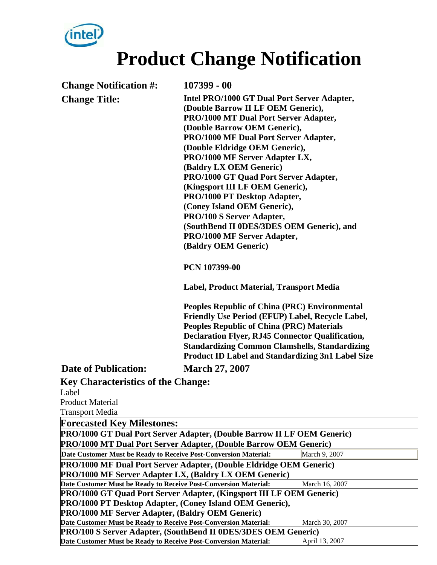

## **Product Change Notification**

**Change Notification #: 107399 - 00** 

**Change Title: Intel PRO/1000 GT Dual Port Server Adapter, (Double Barrow II LF OEM Generic), PRO/1000 MT Dual Port Server Adapter, (Double Barrow OEM Generic), PRO/1000 MF Dual Port Server Adapter, (Double Eldridge OEM Generic), PRO/1000 MF Server Adapter LX, (Baldry LX OEM Generic) PRO/1000 GT Quad Port Server Adapter, (Kingsport III LF OEM Generic), PRO/1000 PT Desktop Adapter, (Coney Island OEM Generic), PRO/100 S Server Adapter, (SouthBend II 0DES/3DES OEM Generic), and PRO/1000 MF Server Adapter, (Baldry OEM Generic)**

**PCN 107399-00** 

**Label, Product Material, Transport Media** 

**Peoples Republic of China (PRC) Environmental Friendly Use Period (EFUP) Label, Recycle Label, Peoples Republic of China (PRC) Materials Declaration Flyer, RJ45 Connector Qualification, Standardizing Common Clamshells, Standardizing Product ID Label and Standardizing 3n1 Label Size** 

#### **Date of Publication: March 27, 2007**

**Key Characteristics of the Change:**

| Label                                                                       |                |  |  |  |  |  |
|-----------------------------------------------------------------------------|----------------|--|--|--|--|--|
| <b>Product Material</b>                                                     |                |  |  |  |  |  |
| <b>Transport Media</b>                                                      |                |  |  |  |  |  |
| <b>Forecasted Key Milestones:</b>                                           |                |  |  |  |  |  |
| PRO/1000 GT Dual Port Server Adapter, (Double Barrow II LF OEM Generic)     |                |  |  |  |  |  |
| PRO/1000 MT Dual Port Server Adapter, (Double Barrow OEM Generic)           |                |  |  |  |  |  |
| Date Customer Must be Ready to Receive Post-Conversion Material:            | March 9, 2007  |  |  |  |  |  |
| PRO/1000 MF Dual Port Server Adapter, (Double Eldridge OEM Generic)         |                |  |  |  |  |  |
| PRO/1000 MF Server Adapter LX, (Baldry LX OEM Generic)                      |                |  |  |  |  |  |
| Date Customer Must be Ready to Receive Post-Conversion Material:            | March 16, 2007 |  |  |  |  |  |
| <b>PRO/1000 GT Quad Port Server Adapter, (Kingsport III LF OEM Generic)</b> |                |  |  |  |  |  |
| PRO/1000 PT Desktop Adapter, (Coney Island OEM Generic),                    |                |  |  |  |  |  |
| <b>PRO/1000 MF Server Adapter, (Baldry OEM Generic)</b>                     |                |  |  |  |  |  |
| Date Customer Must be Ready to Receive Post-Conversion Material:            | March 30, 2007 |  |  |  |  |  |
| <b>PRO/100 S Server Adapter, (SouthBend II 0DES/3DES OEM Generic)</b>       |                |  |  |  |  |  |
| Date Customer Must be Ready to Receive Post-Conversion Material:            | April 13, 2007 |  |  |  |  |  |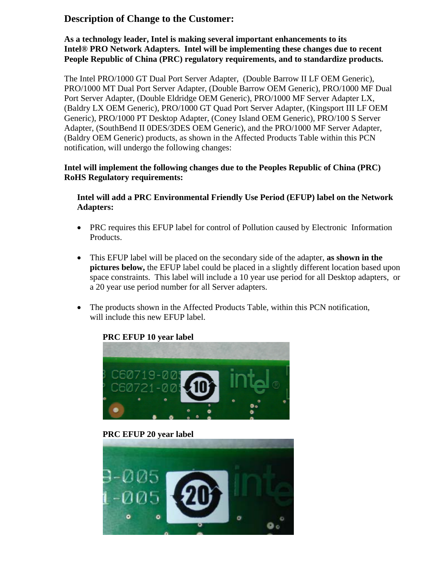#### **Description of Change to the Customer:**

**As a technology leader, Intel is making several important enhancements to its Intel® PRO Network Adapters. Intel will be implementing these changes due to recent People Republic of China (PRC) regulatory requirements, and to standardize products.** 

The Intel PRO/1000 GT Dual Port Server Adapter, (Double Barrow II LF OEM Generic), PRO/1000 MT Dual Port Server Adapter, (Double Barrow OEM Generic), PRO/1000 MF Dual Port Server Adapter, (Double Eldridge OEM Generic), PRO/1000 MF Server Adapter LX, (Baldry LX OEM Generic), PRO/1000 GT Quad Port Server Adapter, (Kingsport III LF OEM Generic), PRO/1000 PT Desktop Adapter, (Coney Island OEM Generic), PRO/100 S Server Adapter, (SouthBend II 0DES/3DES OEM Generic), and the PRO/1000 MF Server Adapter, (Baldry OEM Generic) products, as shown in the Affected Products Table within this PCN notification, will undergo the following changes:

#### **Intel will implement the following changes due to the Peoples Republic of China (PRC) RoHS Regulatory requirements:**

**Intel will add a PRC Environmental Friendly Use Period (EFUP) label on the Network Adapters:** 

- PRC requires this EFUP label for control of Pollution caused by Electronic Information Products.
- This EFUP label will be placed on the secondary side of the adapter, **as shown in the pictures below,** the EFUP label could be placed in a slightly different location based upon space constraints.This label will include a 10 year use period for all Desktop adapters, or a 20 year use period number for all Server adapters.
- The products shown in the Affected Products Table, within this PCN notification, will include this new EFUP label.

#### **PRC EFUP 10 year label**



**PRC EFUP 20 year label** 

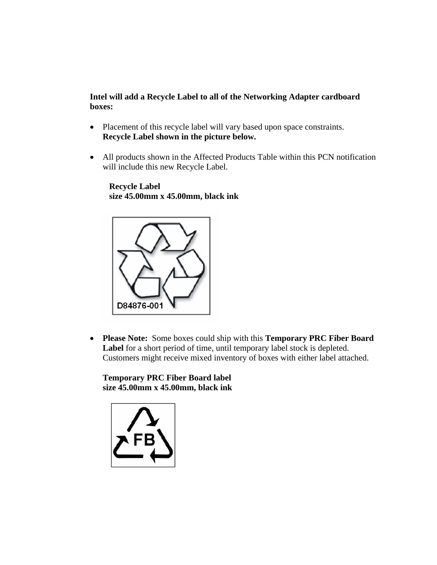**Intel will add a Recycle Label to all of the Networking Adapter cardboard boxes:** 

- Placement of this recycle label will vary based upon space constraints. **Recycle Label shown in the picture below.**
- All products shown in the Affected Products Table within this PCN notification will include this new Recycle Label.

 **Recycle Label size 45.00mm x 45.00mm, black ink** 



• **Please Note:** Some boxes could ship with this **Temporary PRC Fiber Board Label** for a short period of time, until temporary label stock is depleted. Customers might receive mixed inventory of boxes with either label attached.

**Temporary PRC Fiber Board label size 45.00mm x 45.00mm, black ink** 

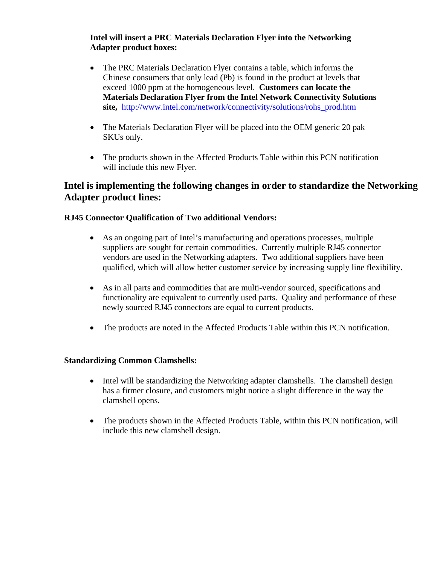#### **Intel will insert a PRC Materials Declaration Flyer into the Networking Adapter product boxes:**

- The PRC Materials Declaration Flyer contains a table, which informs the Chinese consumers that only lead (Pb) is found in the product at levels that exceed 1000 ppm at the homogeneous level. **Customers can locate the Materials Declaration Flyer from the Intel Network Connectivity Solutions site,** [http://www.intel.com/network/connectivity/solutions/rohs\\_prod.htm](http://www.intel.com/network/connectivity/solutions/rohs_prod.htm)
- The Materials Declaration Flyer will be placed into the OEM generic 20 pak SKUs only.
- The products shown in the Affected Products Table within this PCN notification will include this new Flyer.

#### **Intel is implementing the following changes in order to standardize the Networking Adapter product lines:**

#### **RJ45 Connector Qualification of Two additional Vendors:**

- As an ongoing part of Intel's manufacturing and operations processes, multiple suppliers are sought for certain commodities. Currently multiple RJ45 connector vendors are used in the Networking adapters. Two additional suppliers have been qualified, which will allow better customer service by increasing supply line flexibility.
- As in all parts and commodities that are multi-vendor sourced, specifications and functionality are equivalent to currently used parts. Quality and performance of these newly sourced RJ45 connectors are equal to current products.
- The products are noted in the Affected Products Table within this PCN notification.

#### **Standardizing Common Clamshells:**

- Intel will be standardizing the Networking adapter clamshells. The clamshell design has a firmer closure, and customers might notice a slight difference in the way the clamshell opens.
- The products shown in the Affected Products Table, within this PCN notification, will include this new clamshell design.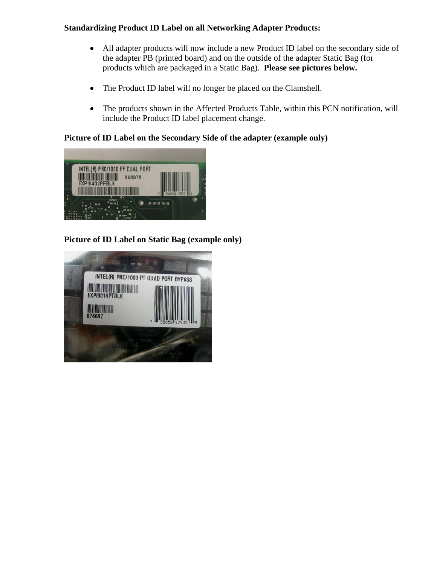#### **Standardizing Product ID Label on all Networking Adapter Products:**

- All adapter products will now include a new Product ID label on the secondary side of the adapter PB (printed board) and on the outside of the adapter Static Bag (for products which are packaged in a Static Bag). **Please see pictures below.**
- The Product ID label will no longer be placed on the Clamshell.
- The products shown in the Affected Products Table, within this PCN notification, will include the Product ID label placement change.

#### **Picture of ID Label on the Secondary Side of the adapter (example only)**



#### **Picture of ID Label on Static Bag (example only)**

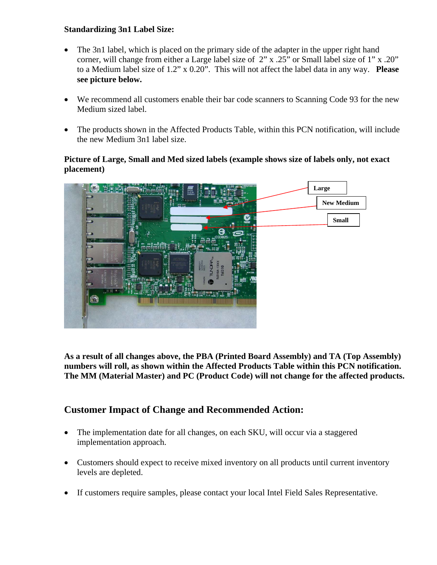#### **Standardizing 3n1 Label Size:**

- The 3n1 label, which is placed on the primary side of the adapter in the upper right hand corner, will change from either a Large label size of 2" x .25" or Small label size of 1" x .20" to a Medium label size of 1.2" x 0.20". This will not affect the label data in any way. **Please see picture below.**
- We recommend all customers enable their bar code scanners to Scanning Code 93 for the new Medium sized label.
- The products shown in the Affected Products Table, within this PCN notification, will include the new Medium 3n1 label size.

#### **Picture of Large, Small and Med sized labels (example shows size of labels only, not exact placement)**



**As a result of all changes above, the PBA (Printed Board Assembly) and TA (Top Assembly) numbers will roll, as shown within the Affected Products Table within this PCN notification. The MM (Material Master) and PC (Product Code) will not change for the affected products.** 

#### **Customer Impact of Change and Recommended Action:**

- The implementation date for all changes, on each SKU, will occur via a staggered implementation approach.
- Customers should expect to receive mixed inventory on all products until current inventory levels are depleted.
- If customers require samples, please contact your local Intel Field Sales Representative.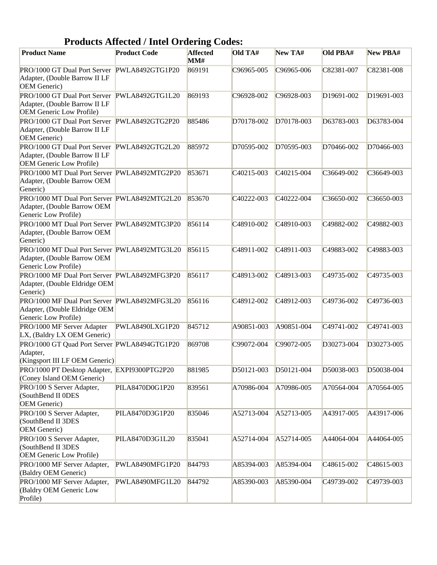| <b>Products Affected / Intel Ordering Codes:</b>                                                                 |                     |                        |                         |                         |                         |            |
|------------------------------------------------------------------------------------------------------------------|---------------------|------------------------|-------------------------|-------------------------|-------------------------|------------|
| <b>Product Name</b>                                                                                              | <b>Product Code</b> | <b>Affected</b><br>MM# | Old TA#                 | New TA#                 | Old PBA#                | New PBA#   |
| PRO/1000 GT Dual Port Server PWLA8492GTG1P20<br>Adapter, (Double Barrow II LF<br>OEM Generic)                    |                     | 869191                 | C96965-005              | C96965-006              | C82381-007              | C82381-008 |
| PRO/1000 GT Dual Port Server<br>Adapter, (Double Barrow II LF<br><b>OEM Generic Low Profile)</b>                 | PWLA8492GTG1L20     | 869193                 | C96928-002              | C96928-003              | D <sub>19691</sub> -002 | D19691-003 |
| PRO/1000 GT Dual Port Server PWLA8492GTG2P20<br>Adapter, (Double Barrow II LF<br>OEM Generic)                    |                     | 885486                 | D70178-002              | D70178-003              | D63783-003              | D63783-004 |
| PRO/1000 GT Dual Port Server PWLA8492GTG2L20<br>Adapter, (Double Barrow II LF<br><b>OEM Generic Low Profile)</b> |                     | 885972                 | D70595-002              | D70595-003              | D70466-002              | D70466-003 |
| PRO/1000 MT Dual Port Server PWLA8492MTG2P20<br>Adapter, (Double Barrow OEM<br>Generic)                          |                     | 853671                 | C <sub>40215</sub> -003 | C40215-004              | C36649-002              | C36649-003 |
| PRO/1000 MT Dual Port Server PWLA8492MTG2L20<br>Adapter, (Double Barrow OEM<br>Generic Low Profile)              |                     | 853670                 | C40222-003              | C40222-004              | C36650-002              | C36650-003 |
| PRO/1000 MT Dual Port Server PWLA8492MTG3P20<br>Adapter, (Double Barrow OEM<br>Generic)                          |                     | 856114                 | C48910-002              | C48910-003              | C49882-002              | C49882-003 |
| PRO/1000 MT Dual Port Server PWLA8492MTG3L20<br>Adapter, (Double Barrow OEM<br>Generic Low Profile)              |                     | 856115                 | C <sub>48911</sub> -002 | C <sub>48911</sub> -003 | C49883-002              | C49883-003 |
| PRO/1000 MF Dual Port Server PWLA8492MFG3P20<br>Adapter, (Double Eldridge OEM<br>Generic)                        |                     | 856117                 | C <sub>48913</sub> -002 | C48913-003              | C49735-002              | C49735-003 |
| PRO/1000 MF Dual Port Server PWLA8492MFG3L20<br>Adapter, (Double Eldridge OEM<br>Generic Low Profile)            |                     | 856116                 | C <sub>48912-002</sub>  | C48912-003              | C49736-002              | C49736-003 |
| PRO/1000 MF Server Adapter<br>LX, (Baldry LX OEM Generic)                                                        | PWLA8490LXG1P20     | 845712                 | A90851-003              | A90851-004              | C49741-002              | C49741-003 |
| PRO/1000 GT Quad Port Server PWLA8494GTG1P20<br>Adapter,<br>(Kingsport III LF OEM Generic)                       |                     | 869708                 | C99072-004              | C99072-005              | D30273-004              | D30273-005 |
| PRO/1000 PT Desktop Adapter, EXPI9300PTG2P20<br>(Coney Island OEM Generic)                                       |                     | 881985                 | D50121-003              | D50121-004              | D50038-003              | D50038-004 |
| PRO/100 S Server Adapter,<br>(SouthBend II ODES<br>OEM Generic)                                                  | PILA8470D0G1P20     | 839561                 | A70986-004              | A70986-005              | A70564-004              | A70564-005 |
| PRO/100 S Server Adapter,<br>(SouthBend II 3DES<br>OEM Generic)                                                  | PILA8470D3G1P20     | 835046                 | A52713-004              | A52713-005              | A43917-005              | A43917-006 |
| PRO/100 S Server Adapter,<br>(SouthBend II 3DES<br><b>OEM Generic Low Profile)</b>                               | PILA8470D3G1L20     | 835041                 | A52714-004              | A52714-005              | A44064-004              | A44064-005 |
| PRO/1000 MF Server Adapter,<br>(Baldry OEM Generic)                                                              | PWLA8490MFG1P20     | 844793                 | A85394-003              | A85394-004              | C48615-002              | C48615-003 |
| PRO/1000 MF Server Adapter,<br>(Baldry OEM Generic Low<br>Profile)                                               | PWLA8490MFG1L20     | 844792                 | A85390-003              | A85390-004              | C49739-002              | C49739-003 |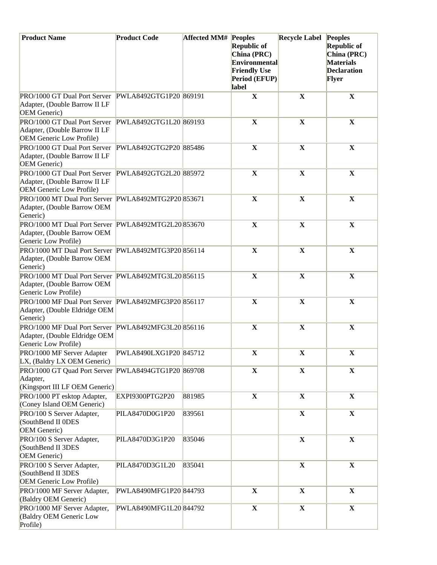| <b>Product Name</b>                                                                                              | <b>Product Code</b>    | <b>Affected MM# Peoples</b> | <b>Republic of</b><br>China (PRC)<br>Environmental | <b>Recycle Label Peoples</b> | <b>Republic of</b><br>China (PRC)<br><b>Materials</b> |
|------------------------------------------------------------------------------------------------------------------|------------------------|-----------------------------|----------------------------------------------------|------------------------------|-------------------------------------------------------|
|                                                                                                                  |                        |                             | <b>Friendly Use</b><br>Period (EFUP)<br>label      |                              | <b>Declaration</b><br><b>Flyer</b>                    |
| PRO/1000 GT Dual Port Server PWLA8492GTG1P20 869191<br>Adapter, (Double Barrow II LF<br>OEM Generic)             |                        |                             | $\mathbf X$                                        | $\mathbf X$                  | $\mathbf X$                                           |
| PRO/1000 GT Dual Port Server PWLA8492GTG1L20 869193<br>Adapter, (Double Barrow II LF<br>OEM Generic Low Profile) |                        |                             | $\mathbf X$                                        | $\mathbf X$                  | $\mathbf X$                                           |
| PRO/1000 GT Dual Port Server PWLA8492GTG2P20 885486<br>Adapter, (Double Barrow II LF<br><b>OEM</b> Generic)      |                        |                             | $\mathbf X$                                        | $\mathbf X$                  | $\mathbf X$                                           |
| PRO/1000 GT Dual Port Server PWLA8492GTG2L20 885972<br>Adapter, (Double Barrow II LF<br>OEM Generic Low Profile) |                        |                             | $\mathbf X$                                        | $\mathbf X$                  | $\mathbf X$                                           |
| PRO/1000 MT Dual Port Server PWLA8492MTG2P20 853671<br>Adapter, (Double Barrow OEM<br>Generic)                   |                        |                             | $\mathbf X$                                        | $\mathbf X$                  | $\mathbf X$                                           |
| PRO/1000 MT Dual Port Server PWLA8492MTG2L20 853670<br>Adapter, (Double Barrow OEM<br>Generic Low Profile)       |                        |                             | $\mathbf X$                                        | $\mathbf X$                  | $\mathbf X$                                           |
| PRO/1000 MT Dual Port Server PWLA8492MTG3P20 856114<br>Adapter, (Double Barrow OEM<br>Generic)                   |                        |                             | $\mathbf X$                                        | $\mathbf X$                  | $\mathbf X$                                           |
| PRO/1000 MT Dual Port Server PWLA8492MTG3L20 856115<br>Adapter, (Double Barrow OEM<br>Generic Low Profile)       |                        |                             | $\mathbf X$                                        | $\mathbf X$                  | $\mathbf X$                                           |
| PRO/1000 MF Dual Port Server PWLA8492MFG3P20 856117<br>Adapter, (Double Eldridge OEM<br>Generic)                 |                        |                             | $\mathbf X$                                        | $\mathbf X$                  | $\mathbf X$                                           |
| PRO/1000 MF Dual Port Server PWLA8492MFG3L20 856116<br>Adapter, (Double Eldridge OEM<br>Generic Low Profile)     |                        |                             | $\mathbf X$                                        | $\mathbf X$                  | $\mathbf X$                                           |
| PRO/1000 MF Server Adapter PWLA8490LXG1P20 845712<br>LX, (Baldry LX OEM Generic)                                 |                        |                             | $\mathbf X$                                        | $\mathbf X$                  | $\mathbf X$                                           |
| PRO/1000 GT Quad Port Server PWLA8494GTG1P20 869708<br>Adapter,<br>(Kingsport III LF OEM Generic)                |                        |                             | $\mathbf X$                                        | $\mathbf X$                  | $\mathbf X$                                           |
| PRO/1000 PT esktop Adapter,<br>(Coney Island OEM Generic)                                                        | EXPI9300PTG2P20        | 881985                      | $\mathbf X$                                        | $\mathbf X$                  | $\mathbf X$                                           |
| PRO/100 S Server Adapter,<br>(SouthBend II 0DES<br>OEM Generic)                                                  | PILA8470D0G1P20        | 839561                      |                                                    | $\mathbf X$                  | $\mathbf X$                                           |
| PRO/100 S Server Adapter,<br>(SouthBend II 3DES<br>OEM Generic)                                                  | PILA8470D3G1P20        | 835046                      |                                                    | $\mathbf X$                  | $\mathbf X$                                           |
| PRO/100 S Server Adapter,<br>(SouthBend II 3DES<br>OEM Generic Low Profile)                                      | PILA8470D3G1L20        | 835041                      |                                                    | $\mathbf X$                  | $\mathbf X$                                           |
| PRO/1000 MF Server Adapter,<br>(Baldry OEM Generic)                                                              | PWLA8490MFG1P20 844793 |                             | $\mathbf X$                                        | $\mathbf X$                  | $\mathbf X$                                           |
| PRO/1000 MF Server Adapter,<br>(Baldry OEM Generic Low<br>Profile)                                               | PWLA8490MFG1L20 844792 |                             | $\mathbf{X}$                                       | $\mathbf X$                  | $\mathbf X$                                           |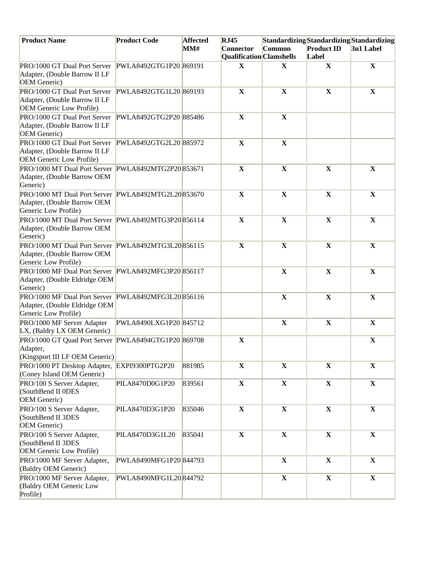| <b>Product Name</b>                                                                                                     | <b>Product Code</b>    | <b>Affected</b> | RJ45                     | Standardizing Standardizing Standardizing |                   |              |
|-------------------------------------------------------------------------------------------------------------------------|------------------------|-----------------|--------------------------|-------------------------------------------|-------------------|--------------|
|                                                                                                                         |                        | MM#             | <b>Connector</b>         | Common                                    | <b>Product ID</b> | 3n1 Label    |
|                                                                                                                         |                        |                 | Qualification Clamshells |                                           | Label             |              |
| PRO/1000 GT Dual Port Server PWLA8492GTG1P20 869191<br>Adapter, (Double Barrow II LF<br><b>OEM</b> Generic)             |                        |                 | $\mathbf X$              | $\mathbf X$                               | $\mathbf X$       | $\mathbf X$  |
| PRO/1000 GT Dual Port Server PWLA8492GTG1L20 869193<br>Adapter, (Double Barrow II LF<br><b>OEM</b> Generic Low Profile) |                        |                 | $\mathbf X$              | $\mathbf X$                               | $\mathbf X$       | $\mathbf X$  |
| PRO/1000 GT Dual Port Server PWLA8492GTG2P20 885486<br>Adapter, (Double Barrow II LF<br>OEM Generic)                    |                        |                 | $\mathbf X$              | $\mathbf X$                               |                   |              |
| PRO/1000 GT Dual Port Server PWLA8492GTG2L20 885972<br>Adapter, (Double Barrow II LF<br>OEM Generic Low Profile)        |                        |                 | $\mathbf X$              | $\mathbf X$                               |                   |              |
| PRO/1000 MT Dual Port Server PWLA8492MTG2P20 853671<br>Adapter, (Double Barrow OEM<br>Generic)                          |                        |                 | $\mathbf X$              | $\mathbf X$                               | $\mathbf X$       | $\mathbf X$  |
| PRO/1000 MT Dual Port Server PWLA8492MTG2L20853670<br>Adapter, (Double Barrow OEM<br>Generic Low Profile)               |                        |                 | $\mathbf X$              | $\mathbf X$                               | $\mathbf X$       | $\mathbf X$  |
| PRO/1000 MT Dual Port Server PWLA8492MTG3P20856114<br>Adapter, (Double Barrow OEM<br>Generic)                           |                        |                 | $\mathbf X$              | $\mathbf X$                               | $\mathbf X$       | $\mathbf X$  |
| PRO/1000 MT Dual Port Server PWLA8492MTG3L20856115<br>Adapter, (Double Barrow OEM<br>Generic Low Profile)               |                        |                 | $\mathbf X$              | $\mathbf X$                               | $\mathbf X$       | $\mathbf X$  |
| PRO/1000 MF Dual Port Server PWLA8492MFG3P20 856117<br>Adapter, (Double Eldridge OEM<br>Generic)                        |                        |                 |                          | $\mathbf X$                               | $\mathbf X$       | $\mathbf X$  |
| PRO/1000 MF Dual Port Server PWLA8492MFG3L20 856116<br>Adapter, (Double Eldridge OEM<br>Generic Low Profile)            |                        |                 |                          | $\mathbf X$                               | $\mathbf X$       | $\mathbf X$  |
| PRO/1000 MF Server Adapter<br>LX, (Baldry LX OEM Generic)                                                               | PWLA8490LXG1P20 845712 |                 |                          | $\mathbf X$                               | $\mathbf X$       | $\mathbf X$  |
| PRO/1000 GT Quad Port Server PWLA8494GTG1P20 869708<br>Adapter,<br>(Kingsport III LF OEM Generic)                       |                        |                 | $\mathbf X$              |                                           |                   | $\mathbf X$  |
| PRO/1000 PT Desktop Adapter, EXPI9300PTG2P20<br>(Coney Island OEM Generic)                                              |                        | 881985          | $\mathbf X$              | $\mathbf X$                               | $\mathbf X$       | $\mathbf X$  |
| PRO/100 S Server Adapter,<br>(SouthBend II 0DES<br>OEM Generic)                                                         | PILA8470D0G1P20        | 839561          | $\mathbf{X}$             | $\mathbf X$                               | $\mathbf{X}$      | $\mathbf{X}$ |
| PRO/100 S Server Adapter,<br>(SouthBend II 3DES<br>OEM Generic)                                                         | PILA8470D3G1P20        | 835046          | $\mathbf X$              | $\mathbf X$                               | $\mathbf{X}$      | $\mathbf{X}$ |
| PRO/100 S Server Adapter,<br>(SouthBend II 3DES<br><b>OEM</b> Generic Low Profile)                                      | PILA8470D3G1L20        | 835041          | $\mathbf X$              | $\mathbf X$                               | $\mathbf{X}$      | $\mathbf{X}$ |
| PRO/1000 MF Server Adapter,<br>(Baldry OEM Generic)                                                                     | PWLA8490MFG1P20 844793 |                 |                          | $\mathbf X$                               | $\mathbf X$       | $\mathbf{X}$ |
| PRO/1000 MF Server Adapter,<br>(Baldry OEM Generic Low<br>Profile)                                                      | PWLA8490MFG1L20844792  |                 |                          | $\mathbf X$                               | $\mathbf{X}$      | $\mathbf{X}$ |